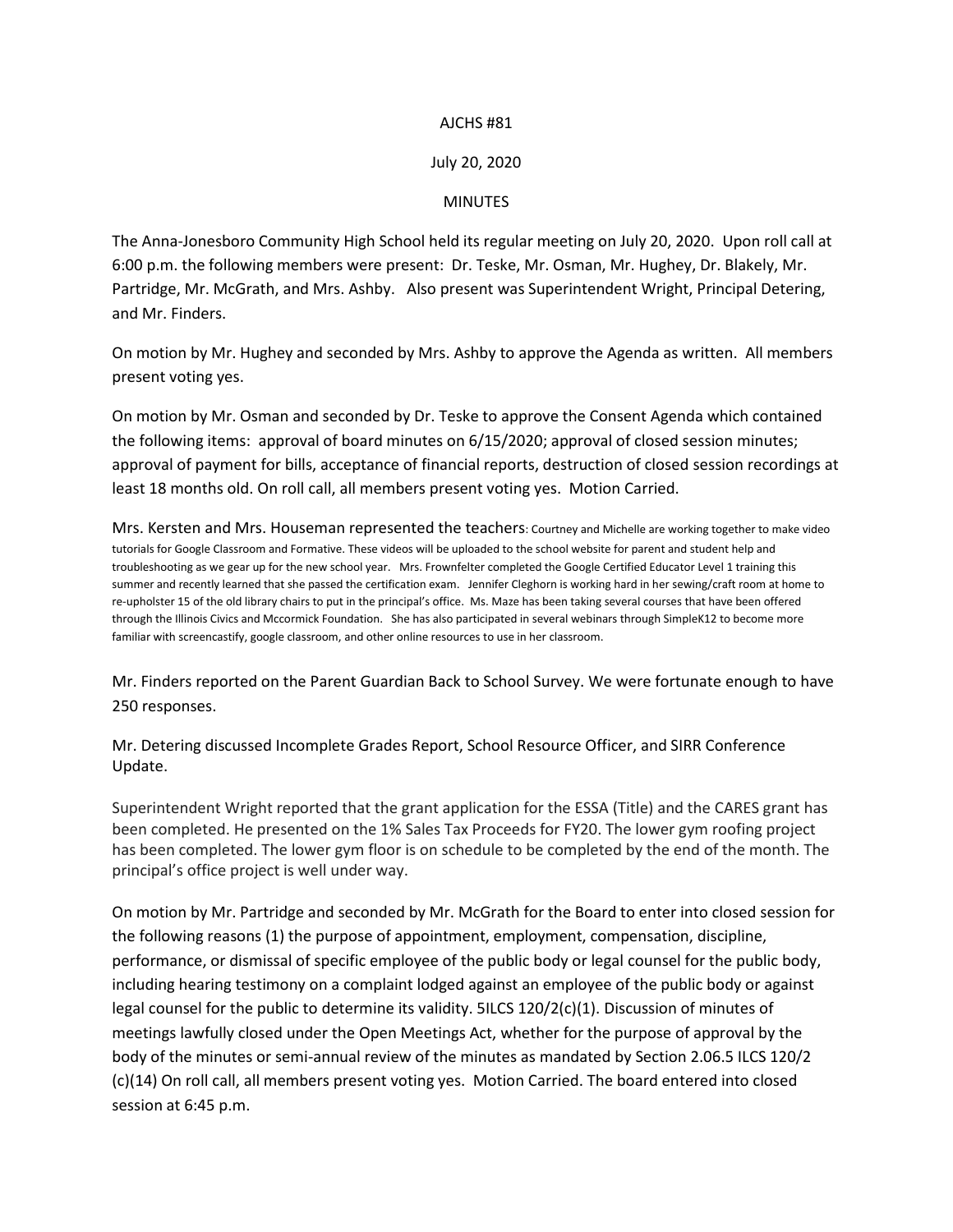## AJCHS #81

## July 20, 2020

## **MINUTES**

The Anna-Jonesboro Community High School held its regular meeting on July 20, 2020. Upon roll call at 6:00 p.m. the following members were present: Dr. Teske, Mr. Osman, Mr. Hughey, Dr. Blakely, Mr. Partridge, Mr. McGrath, and Mrs. Ashby. Also present was Superintendent Wright, Principal Detering, and Mr. Finders.

On motion by Mr. Hughey and seconded by Mrs. Ashby to approve the Agenda as written. All members present voting yes.

On motion by Mr. Osman and seconded by Dr. Teske to approve the Consent Agenda which contained the following items: approval of board minutes on 6/15/2020; approval of closed session minutes; approval of payment for bills, acceptance of financial reports, destruction of closed session recordings at least 18 months old. On roll call, all members present voting yes. Motion Carried.

Mrs. Kersten and Mrs. Houseman represented the teachers: Courtney and Michelle are working together to make video tutorials for Google Classroom and Formative. These videos will be uploaded to the school website for parent and student help and troubleshooting as we gear up for the new school year. Mrs. Frownfelter completed the Google Certified Educator Level 1 training this summer and recently learned that she passed the certification exam. Jennifer Cleghorn is working hard in her sewing/craft room at home to re-upholster 15 of the old library chairs to put in the principal's office. Ms. Maze has been taking several courses that have been offered through the Illinois Civics and Mccormick Foundation. She has also participated in several webinars through SimpleK12 to become more familiar with screencastify, google classroom, and other online resources to use in her classroom.

Mr. Finders reported on the Parent Guardian Back to School Survey. We were fortunate enough to have 250 responses.

Mr. Detering discussed Incomplete Grades Report, School Resource Officer, and SIRR Conference Update.

Superintendent Wright reported that the grant application for the ESSA (Title) and the CARES grant has been completed. He presented on the 1% Sales Tax Proceeds for FY20. The lower gym roofing project has been completed. The lower gym floor is on schedule to be completed by the end of the month. The principal's office project is well under way.

On motion by Mr. Partridge and seconded by Mr. McGrath for the Board to enter into closed session for the following reasons (1) the purpose of appointment, employment, compensation, discipline, performance, or dismissal of specific employee of the public body or legal counsel for the public body, including hearing testimony on a complaint lodged against an employee of the public body or against legal counsel for the public to determine its validity. 5ILCS 120/2(c)(1). Discussion of minutes of meetings lawfully closed under the Open Meetings Act, whether for the purpose of approval by the body of the minutes or semi-annual review of the minutes as mandated by Section 2.06.5 ILCS 120/2 (c)(14) On roll call, all members present voting yes. Motion Carried. The board entered into closed session at 6:45 p.m.